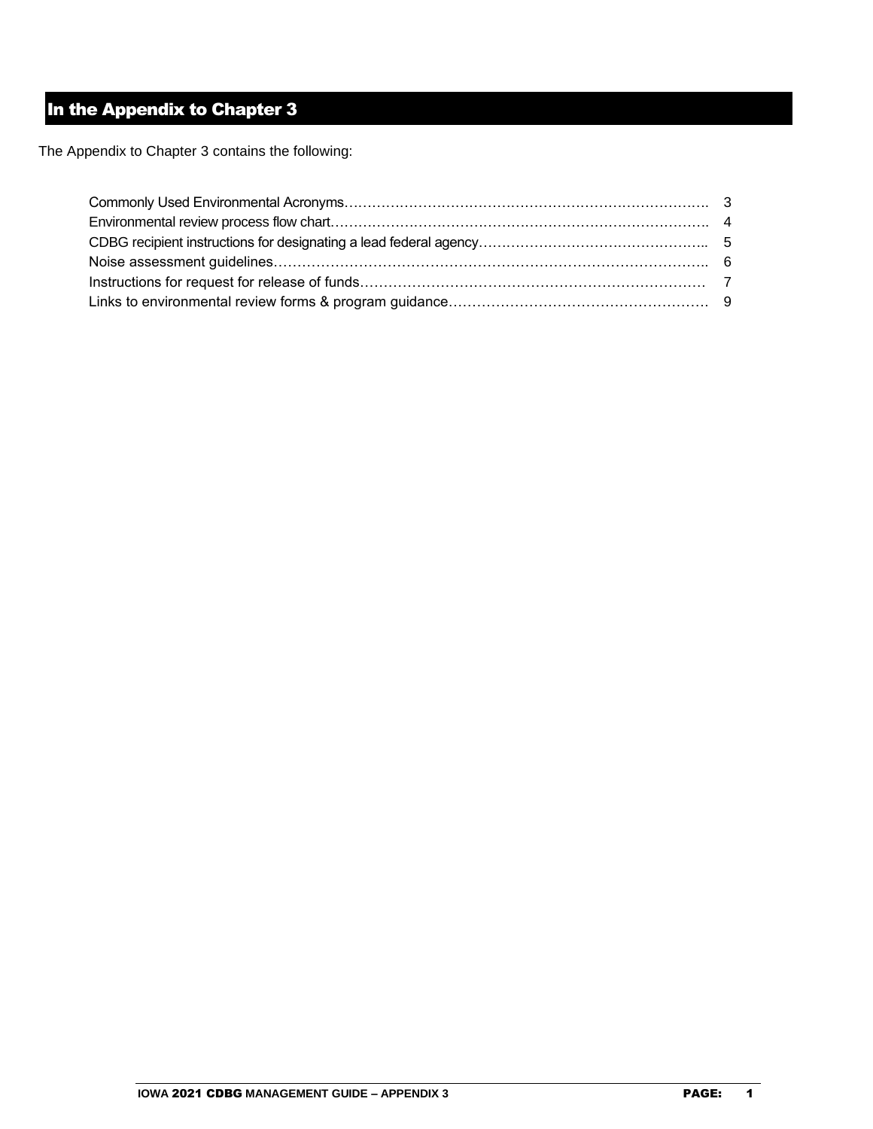# In the Appendix to Chapter 3

The Appendix to Chapter 3 contains the following: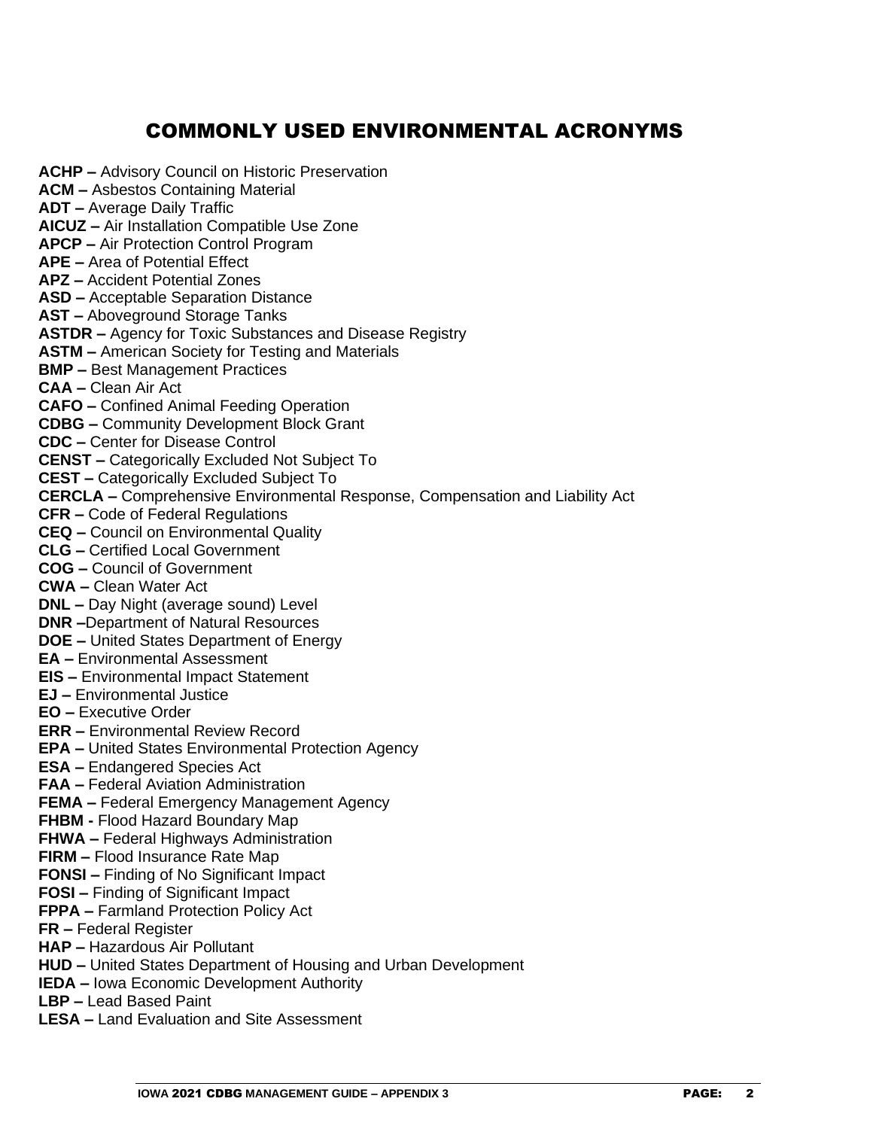# COMMONLY USED ENVIRONMENTAL ACRONYMS

**ACHP –** Advisory Council on Historic Preservation **ACM –** Asbestos Containing Material **ADT –** Average Daily Traffic **AICUZ –** Air Installation Compatible Use Zone **APCP –** Air Protection Control Program **APE –** Area of Potential Effect **APZ –** Accident Potential Zones **ASD –** Acceptable Separation Distance **AST –** Aboveground Storage Tanks **ASTDR –** Agency for Toxic Substances and Disease Registry **ASTM –** American Society for Testing and Materials **BMP –** Best Management Practices **CAA –** Clean Air Act **CAFO –** Confined Animal Feeding Operation **CDBG –** Community Development Block Grant **CDC –** Center for Disease Control **CENST –** Categorically Excluded Not Subject To **CEST –** Categorically Excluded Subject To **CERCLA –** Comprehensive Environmental Response, Compensation and Liability Act **CFR –** Code of Federal Regulations **CEQ –** Council on Environmental Quality **CLG –** Certified Local Government **COG –** Council of Government **CWA –** Clean Water Act **DNL –** Day Night (average sound) Level **DNR –**Department of Natural Resources **DOE –** United States Department of Energy **EA –** Environmental Assessment **EIS –** Environmental Impact Statement **EJ –** Environmental Justice **EO –** Executive Order **ERR –** Environmental Review Record **EPA –** United States Environmental Protection Agency **ESA –** Endangered Species Act **FAA –** Federal Aviation Administration **FEMA –** Federal Emergency Management Agency **FHBM -** Flood Hazard Boundary Map **FHWA –** Federal Highways Administration **FIRM –** Flood Insurance Rate Map **FONSI –** Finding of No Significant Impact **FOSI –** Finding of Significant Impact **FPPA –** Farmland Protection Policy Act **FR –** Federal Register **HAP –** Hazardous Air Pollutant **HUD –** United States Department of Housing and Urban Development **IEDA –** Iowa Economic Development Authority **LBP –** Lead Based Paint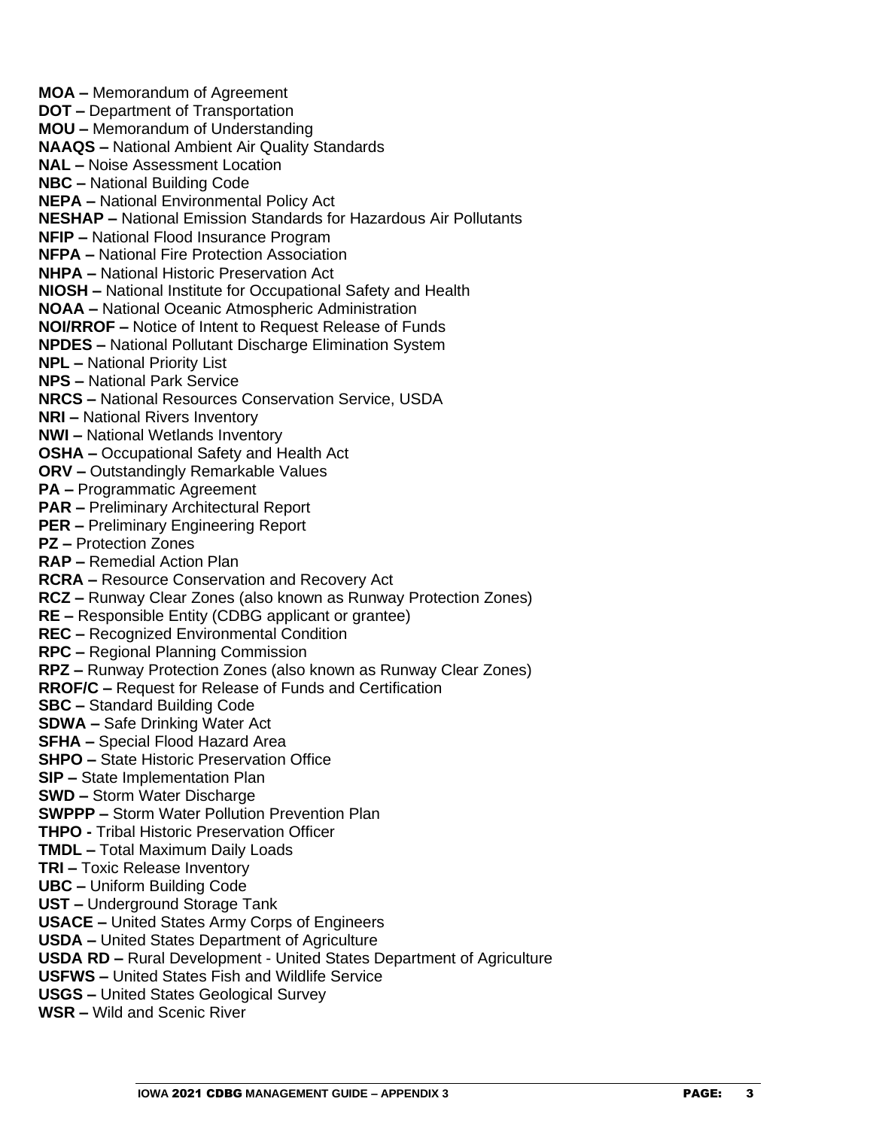**MOA –** Memorandum of Agreement **DOT –** Department of Transportation **MOU –** Memorandum of Understanding **NAAQS –** National Ambient Air Quality Standards **NAL –** Noise Assessment Location **NBC –** National Building Code **NEPA –** National Environmental Policy Act **NESHAP –** National Emission Standards for Hazardous Air Pollutants **NFIP –** National Flood Insurance Program **NFPA –** National Fire Protection Association **NHPA –** National Historic Preservation Act **NIOSH –** National Institute for Occupational Safety and Health **NOAA –** National Oceanic Atmospheric Administration **NOI/RROF –** Notice of Intent to Request Release of Funds **NPDES –** National Pollutant Discharge Elimination System **NPL –** National Priority List **NPS –** National Park Service **NRCS –** National Resources Conservation Service, USDA **NRI –** National Rivers Inventory **NWI –** National Wetlands Inventory **OSHA –** Occupational Safety and Health Act **ORV –** Outstandingly Remarkable Values **PA –** Programmatic Agreement **PAR –** Preliminary Architectural Report **PER –** Preliminary Engineering Report **PZ –** Protection Zones **RAP –** Remedial Action Plan **RCRA –** Resource Conservation and Recovery Act **RCZ –** Runway Clear Zones (also known as Runway Protection Zones) **RE –** Responsible Entity (CDBG applicant or grantee) **REC –** Recognized Environmental Condition **RPC –** Regional Planning Commission **RPZ –** Runway Protection Zones (also known as Runway Clear Zones) **RROF/C –** Request for Release of Funds and Certification **SBC –** Standard Building Code **SDWA –** Safe Drinking Water Act **SFHA –** Special Flood Hazard Area **SHPO –** State Historic Preservation Office **SIP –** State Implementation Plan **SWD –** Storm Water Discharge **SWPPP –** Storm Water Pollution Prevention Plan **THPO -** Tribal Historic Preservation Officer **TMDL –** Total Maximum Daily Loads **TRI –** Toxic Release Inventory **UBC –** Uniform Building Code **UST –** Underground Storage Tank **USACE –** United States Army Corps of Engineers **USDA –** United States Department of Agriculture **USDA RD –** Rural Development - United States Department of Agriculture **USFWS –** United States Fish and Wildlife Service **USGS –** United States Geological Survey **WSR –** Wild and Scenic River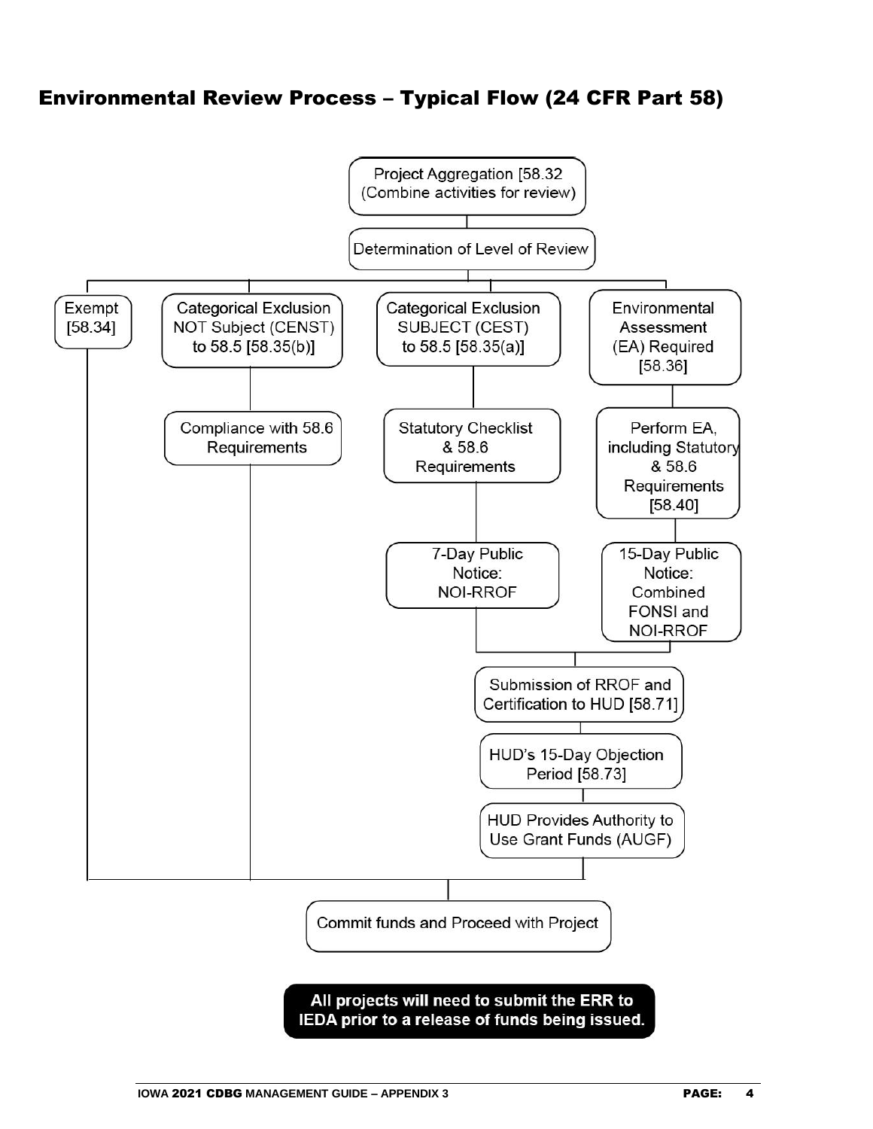# Environmental Review Process – Typical Flow (24 CFR Part 58)

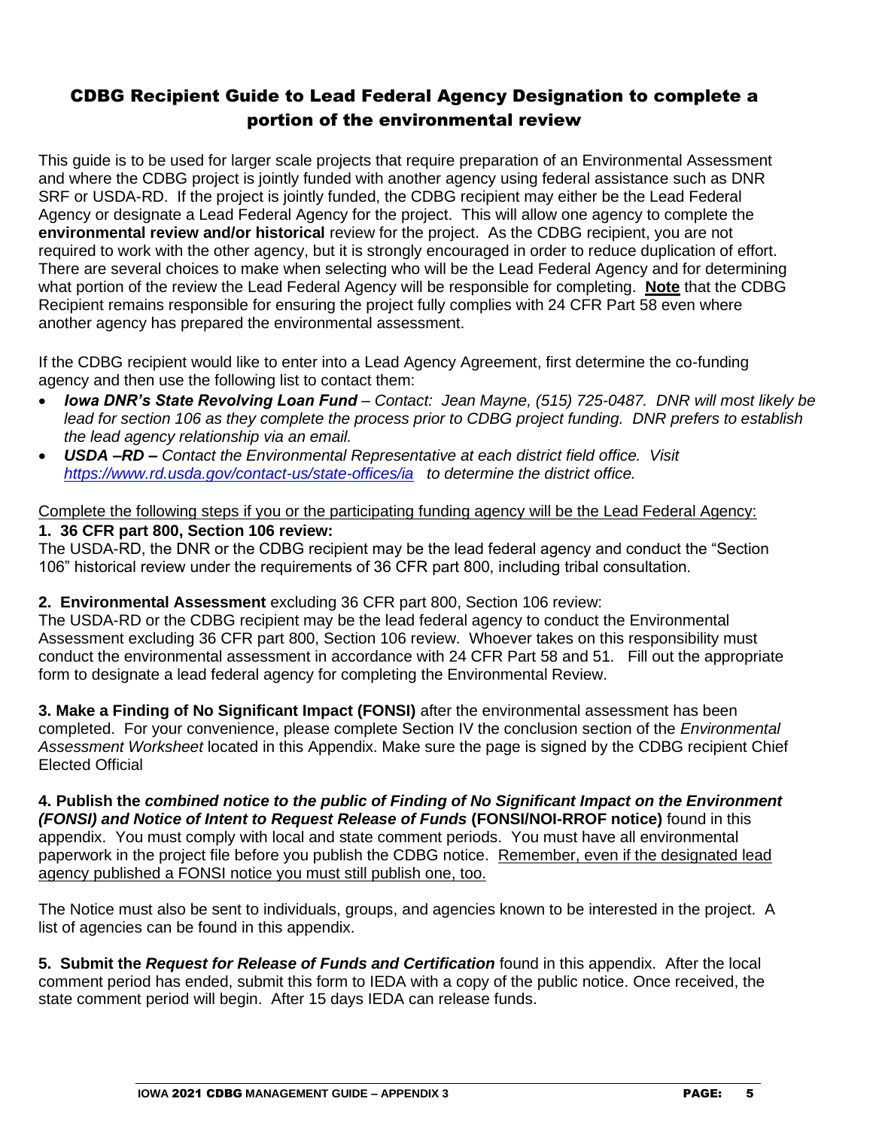## CDBG Recipient Guide to Lead Federal Agency Designation to complete a portion of the environmental review

This guide is to be used for larger scale projects that require preparation of an Environmental Assessment and where the CDBG project is jointly funded with another agency using federal assistance such as DNR SRF or USDA-RD. If the project is jointly funded, the CDBG recipient may either be the Lead Federal Agency or designate a Lead Federal Agency for the project. This will allow one agency to complete the **environmental review and/or historical** review for the project. As the CDBG recipient, you are not required to work with the other agency, but it is strongly encouraged in order to reduce duplication of effort. There are several choices to make when selecting who will be the Lead Federal Agency and for determining what portion of the review the Lead Federal Agency will be responsible for completing. **Note** that the CDBG Recipient remains responsible for ensuring the project fully complies with 24 CFR Part 58 even where another agency has prepared the environmental assessment.

If the CDBG recipient would like to enter into a Lead Agency Agreement, first determine the co-funding agency and then use the following list to contact them:

- *Iowa DNR's State Revolving Loan Fund – Contact: Jean Mayne, (515) 725-0487. DNR will most likely be lead for section 106 as they complete the process prior to CDBG project funding. DNR prefers to establish the lead agency relationship via an email.*
- *USDA –RD – Contact the Environmental Representative at each district field office. Visit <https://www.rd.usda.gov/contact-us/state-offices/ia>to determine the district office.*

## Complete the following steps if you or the participating funding agency will be the Lead Federal Agency: **1. 36 CFR part 800, Section 106 review:**

The USDA-RD, the DNR or the CDBG recipient may be the lead federal agency and conduct the "Section 106" historical review under the requirements of 36 CFR part 800, including tribal consultation.

### **2. Environmental Assessment** excluding 36 CFR part 800, Section 106 review:

The USDA-RD or the CDBG recipient may be the lead federal agency to conduct the Environmental Assessment excluding 36 CFR part 800, Section 106 review. Whoever takes on this responsibility must conduct the environmental assessment in accordance with 24 CFR Part 58 and 51. Fill out the appropriate form to designate a lead federal agency for completing the Environmental Review.

**3. Make a Finding of No Significant Impact (FONSI)** after the environmental assessment has been completed. For your convenience, please complete Section IV the conclusion section of the *Environmental Assessment Worksheet* located in this Appendix. Make sure the page is signed by the CDBG recipient Chief Elected Official

**4. Publish the** *combined notice to the public of Finding of No Significant Impact on the Environment (FONSI) and Notice of Intent to Request Release of Funds* **(FONSI/NOI-RROF notice)** found in this appendix. You must comply with local and state comment periods. You must have all environmental paperwork in the project file before you publish the CDBG notice. Remember, even if the designated lead agency published a FONSI notice you must still publish one, too.

The Notice must also be sent to individuals, groups, and agencies known to be interested in the project. A list of agencies can be found in this appendix.

**5. Submit the** *Request for Release of Funds and Certification* found in this appendix.After the local comment period has ended, submit this form to IEDA with a copy of the public notice. Once received, the state comment period will begin. After 15 days IEDA can release funds.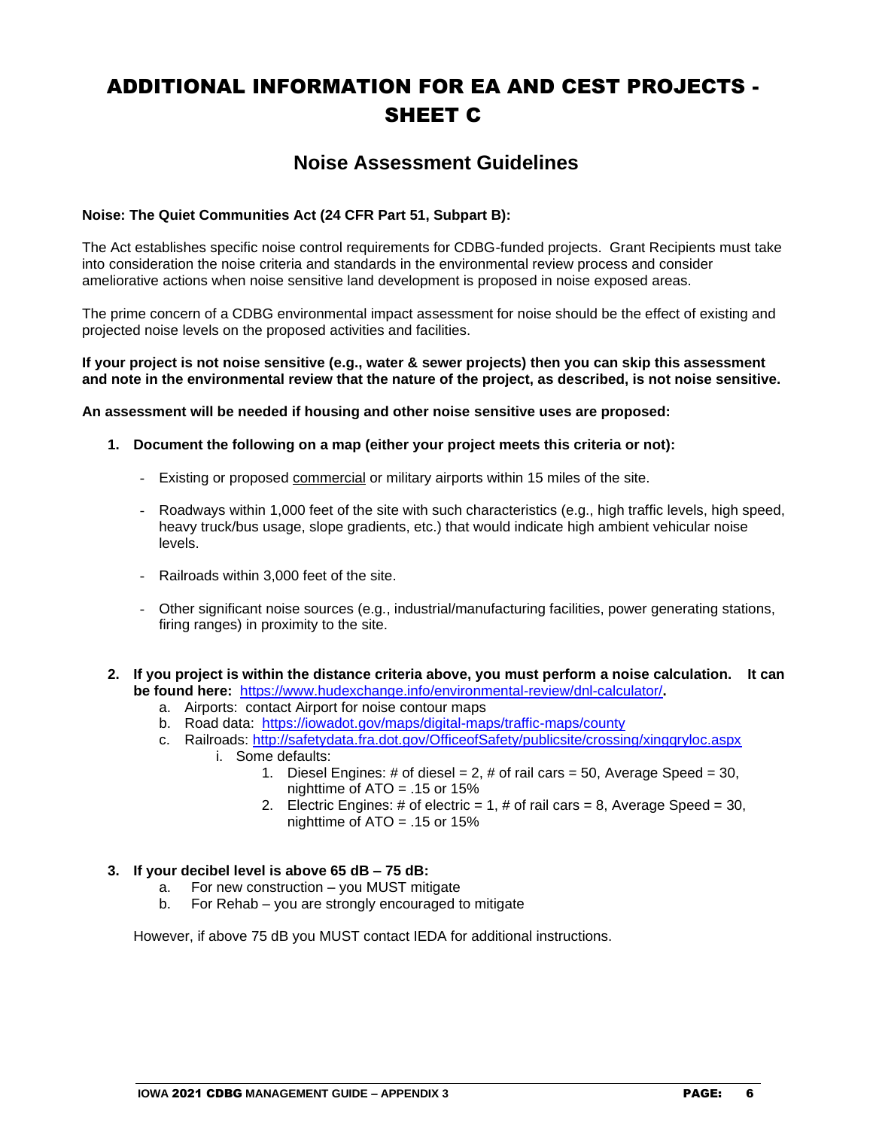# ADDITIONAL INFORMATION FOR EA AND CEST PROJECTS - SHEET C

## **Noise Assessment Guidelines**

### **Noise: The Quiet Communities Act (24 CFR Part 51, Subpart B):**

The Act establishes specific noise control requirements for CDBG-funded projects. Grant Recipients must take into consideration the noise criteria and standards in the environmental review process and consider ameliorative actions when noise sensitive land development is proposed in noise exposed areas.

The prime concern of a CDBG environmental impact assessment for noise should be the effect of existing and projected noise levels on the proposed activities and facilities.

**If your project is not noise sensitive (e.g., water & sewer projects) then you can skip this assessment and note in the environmental review that the nature of the project, as described, is not noise sensitive.**

**An assessment will be needed if housing and other noise sensitive uses are proposed:**

- **1. Document the following on a map (either your project meets this criteria or not):**
	- Existing or proposed commercial or military airports within 15 miles of the site.
	- Roadways within 1,000 feet of the site with such characteristics (e.g., high traffic levels, high speed, heavy truck/bus usage, slope gradients, etc.) that would indicate high ambient vehicular noise levels.
	- Railroads within 3,000 feet of the site.
	- Other significant noise sources (e.g., industrial/manufacturing facilities, power generating stations, firing ranges) in proximity to the site.
- **2. If you project is within the distance criteria above, you must perform a noise calculation. It can be found here:** <https://www.hudexchange.info/environmental-review/dnl-calculator/>**.** 
	- a. Airports: contact Airport for noise contour maps
	- b. Road data: <https://iowadot.gov/maps/digital-maps/traffic-maps/county>
	- c. Railroads:<http://safetydata.fra.dot.gov/OfficeofSafety/publicsite/crossing/xingqryloc.aspx> i. Some defaults:
		- 1. Diesel Engines: # of diesel = 2, # of rail cars = 50, Average Speed = 30, nighttime of ATO = .15 or 15%
		- 2. Electric Engines: # of electric = 1, # of rail cars = 8, Average Speed = 30, nighttime of ATO = .15 or 15%

#### **3. If your decibel level is above 65 dB – 75 dB:**

- a. For new construction you MUST mitigate
- b. For Rehab you are strongly encouraged to mitigate

However, if above 75 dB you MUST contact IEDA for additional instructions.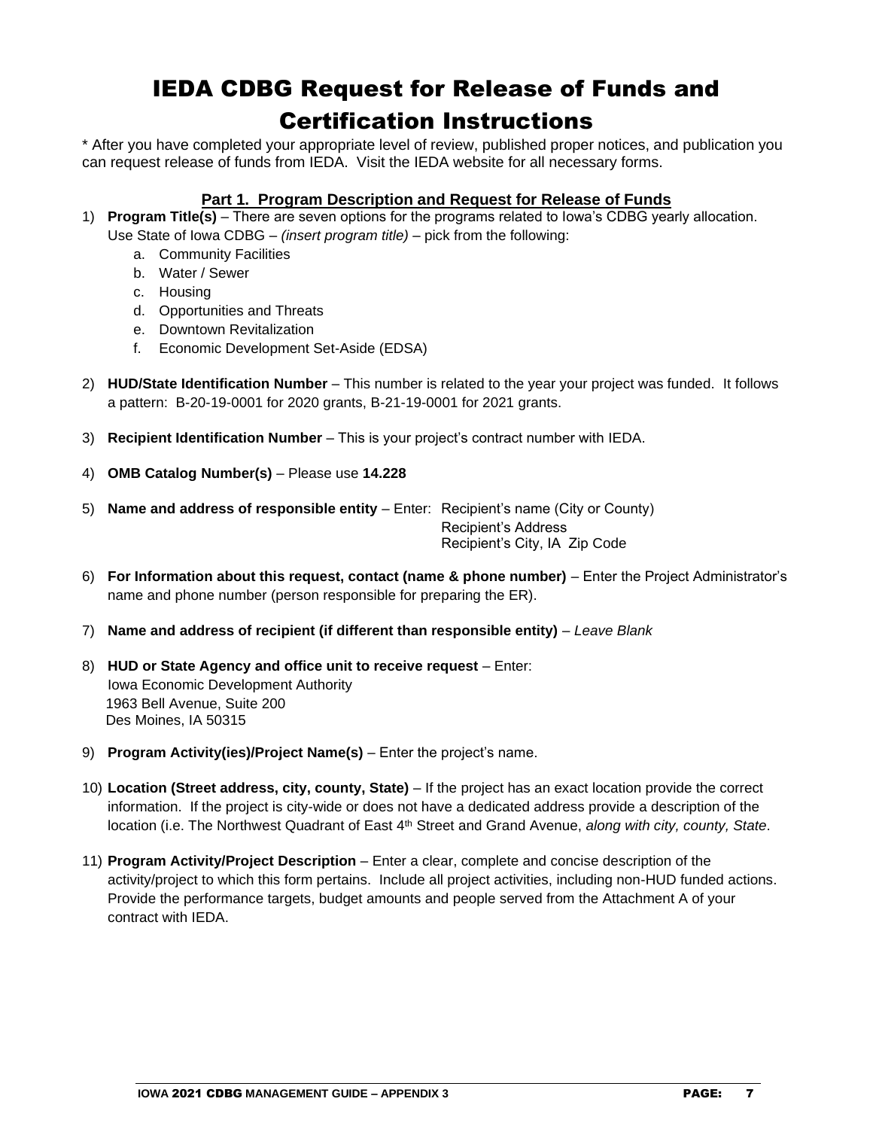# IEDA CDBG Request for Release of Funds and Certification Instructions

\* After you have completed your appropriate level of review, published proper notices, and publication you can request release of funds from IEDA. Visit the IEDA website for all necessary forms.

### **Part 1. Program Description and Request for Release of Funds**

- 1) **Program Title(s)** There are seven options for the programs related to Iowa's CDBG yearly allocation. Use State of Iowa CDBG – *(insert program title)* – pick from the following:
	- a. Community Facilities
	- b. Water / Sewer
	- c. Housing
	- d. Opportunities and Threats
	- e. Downtown Revitalization
	- f. Economic Development Set-Aside (EDSA)
- 2) **HUD/State Identification Number** This number is related to the year your project was funded. It follows a pattern: B-20-19-0001 for 2020 grants, B-21-19-0001 for 2021 grants.
- 3) **Recipient Identification Number** This is your project's contract number with IEDA.
- 4) **OMB Catalog Number(s)** Please use **14.228**
- 5) **Name and address of responsible entity** Enter: Recipient's name (City or County) Recipient's Address Recipient's City, IA Zip Code
- 6) **For Information about this request, contact (name & phone number)** Enter the Project Administrator's name and phone number (person responsible for preparing the ER).
- 7) **Name and address of recipient (if different than responsible entity)** *Leave Blank*
- 8) **HUD or State Agency and office unit to receive request** Enter: Iowa Economic Development Authority 1963 Bell Avenue, Suite 200 Des Moines, IA 50315
- 9) **Program Activity(ies)/Project Name(s)** Enter the project's name.
- 10) **Location (Street address, city, county, State)** If the project has an exact location provide the correct information. If the project is city-wide or does not have a dedicated address provide a description of the location (i.e. The Northwest Quadrant of East 4<sup>th</sup> Street and Grand Avenue, *along with city, county, State.*
- 11) **Program Activity/Project Description** Enter a clear, complete and concise description of the activity/project to which this form pertains. Include all project activities, including non-HUD funded actions. Provide the performance targets, budget amounts and people served from the Attachment A of your contract with IEDA.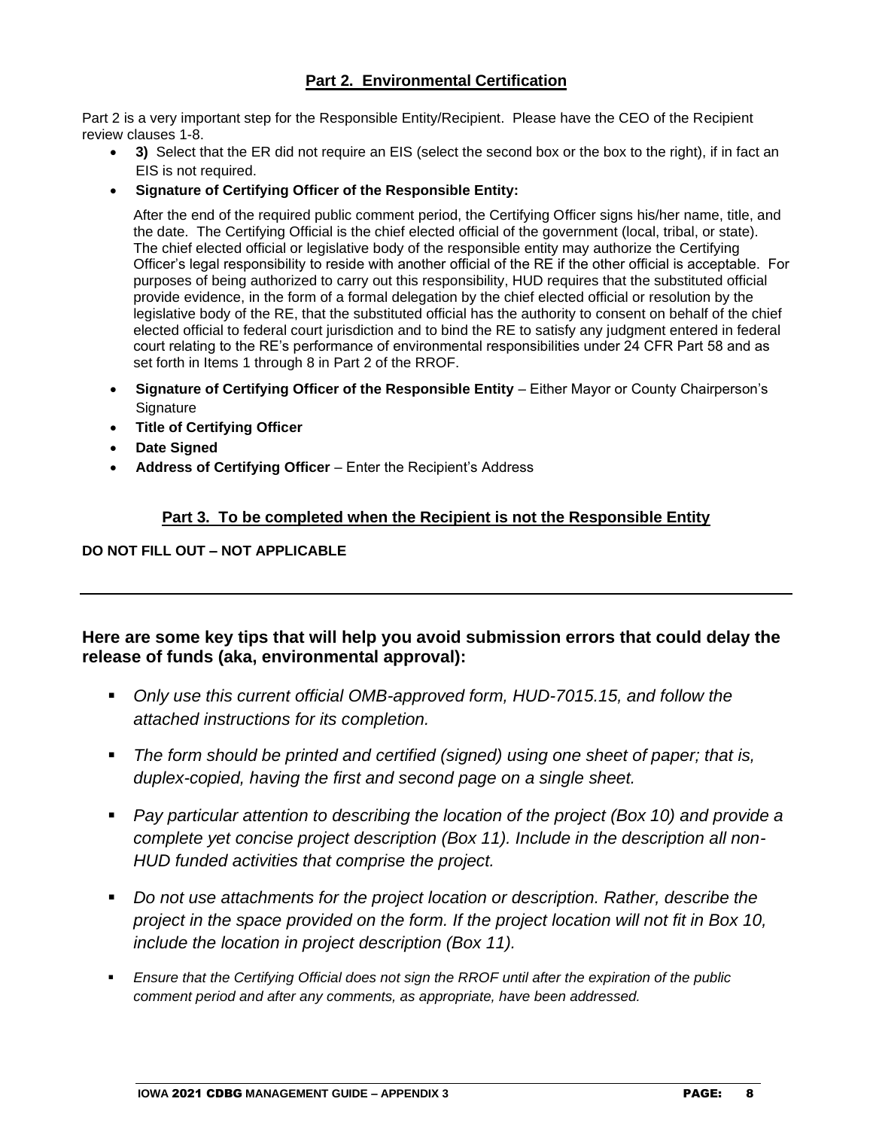### **Part 2. Environmental Certification**

Part 2 is a very important step for the Responsible Entity/Recipient. Please have the CEO of the Recipient review clauses 1-8.

- **3)** Select that the ER did not require an EIS (select the second box or the box to the right), if in fact an EIS is not required.
- **Signature of Certifying Officer of the Responsible Entity:**

After the end of the required public comment period, the Certifying Officer signs his/her name, title, and the date. The Certifying Official is the chief elected official of the government (local, tribal, or state). The chief elected official or legislative body of the responsible entity may authorize the Certifying Officer's legal responsibility to reside with another official of the RE if the other official is acceptable. For purposes of being authorized to carry out this responsibility, HUD requires that the substituted official provide evidence, in the form of a formal delegation by the chief elected official or resolution by the legislative body of the RE, that the substituted official has the authority to consent on behalf of the chief elected official to federal court jurisdiction and to bind the RE to satisfy any judgment entered in federal court relating to the RE's performance of environmental responsibilities under 24 CFR Part 58 and as set forth in Items 1 through 8 in Part 2 of the RROF.

- **Signature of Certifying Officer of the Responsible Entity** Either Mayor or County Chairperson's **Signature**
- **Title of Certifying Officer**
- **Date Signed**
- **Address of Certifying Officer** Enter the Recipient's Address

### **Part 3. To be completed when the Recipient is not the Responsible Entity**

### **DO NOT FILL OUT – NOT APPLICABLE**

### **Here are some key tips that will help you avoid submission errors that could delay the release of funds (aka, environmental approval):**

- Only use this current official OMB-approved form, HUD-7015.15, and follow the *attached instructions for its completion.*
- *The form should be printed and certified (signed) using one sheet of paper; that is, duplex-copied, having the first and second page on a single sheet.*
- *Pay particular attention to describing the location of the project (Box 10) and provide a complete yet concise project description (Box 11). Include in the description all non-HUD funded activities that comprise the project.*
- *Do not use attachments for the project location or description. Rather, describe the project in the space provided on the form. If the project location will not fit in Box 10, include the location in project description (Box 11).*
- *Ensure that the Certifying Official does not sign the RROF until after the expiration of the public comment period and after any comments, as appropriate, have been addressed.*